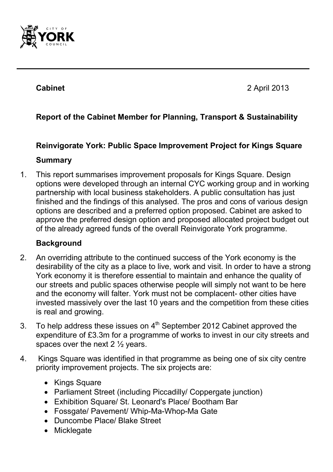

**Cabinet** 2 April 2013

# **Report of the Cabinet Member for Planning, Transport & Sustainability**

# **Reinvigorate York: Public Space Improvement Project for Kings Square**

#### **Summary**

1. This report summarises improvement proposals for Kings Square. Design options were developed through an internal CYC working group and in working partnership with local business stakeholders. A public consultation has just finished and the findings of this analysed. The pros and cons of various design options are described and a preferred option proposed. Cabinet are asked to approve the preferred design option and proposed allocated project budget out of the already agreed funds of the overall Reinvigorate York programme.

#### **Background**

- 2. An overriding attribute to the continued success of the York economy is the desirability of the city as a place to live, work and visit. In order to have a strong York economy it is therefore essential to maintain and enhance the quality of our streets and public spaces otherwise people will simply not want to be here and the economy will falter. York must not be complacent- other cities have invested massively over the last 10 years and the competition from these cities is real and growing.
- 3. To help address these issues on  $4<sup>th</sup>$  September 2012 Cabinet approved the expenditure of £3.3m for a programme of works to invest in our city streets and spaces over the next 2 ½ years.
- 4. Kings Square was identified in that programme as being one of six city centre priority improvement projects. The six projects are:
	- Kings Square
	- Parliament Street (including Piccadilly/ Coppergate junction)
	- Exhibition Square/ St. Leonard's Place/ Bootham Bar
	- Fossgate/ Pavement/ Whip-Ma-Whop-Ma Gate
	- Duncombe Place/ Blake Street
	- Micklegate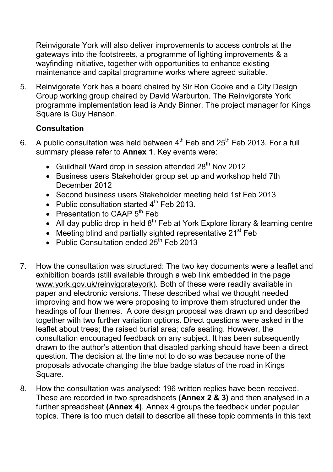Reinvigorate York will also deliver improvements to access controls at the gateways into the footstreets, a programme of lighting improvements & a wayfinding initiative, together with opportunities to enhance existing maintenance and capital programme works where agreed suitable.

5. Reinvigorate York has a board chaired by Sir Ron Cooke and a City Design Group working group chaired by David Warburton. The Reinvigorate York programme implementation lead is Andy Binner. The project manager for Kings Square is Guy Hanson.

# **Consultation**

- 6. A public consultation was held between  $4<sup>th</sup>$  Feb and 25<sup>th</sup> Feb 2013. For a full summary please refer to **Annex 1**. Key events were:
	- Guildhall Ward drop in session attended 28<sup>th</sup> Nov 2012
	- Business users Stakeholder group set up and workshop held 7th December 2012
	- Second business users Stakeholder meeting held 1st Feb 2013
	- Public consultation started  $4<sup>th</sup>$  Feb 2013.
	- Presentation to CAAP  $5<sup>th</sup>$  Feb
	- All day public drop in held  $8<sup>th</sup>$  Feb at York Explore library & learning centre
	- Meeting blind and partially sighted representative  $21<sup>st</sup>$  Feb
	- Public Consultation ended  $25<sup>th</sup>$  Feb 2013
- 7. How the consultation was structured: The two key documents were a leaflet and exhibition boards (still available through a web link embedded in the page www.york.gov.uk/reinvigorateyork). Both of these were readily available in paper and electronic versions. These described what we thought needed improving and how we were proposing to improve them structured under the headings of four themes. A core design proposal was drawn up and described together with two further variation options. Direct questions were asked in the leaflet about trees; the raised burial area; cafe seating. However, the consultation encouraged feedback on any subject. It has been subsequently drawn to the author's attention that disabled parking should have been a direct question. The decision at the time not to do so was because none of the proposals advocate changing the blue badge status of the road in Kings Square.
- 8. How the consultation was analysed: 196 written replies have been received. These are recorded in two spreadsheets **(Annex 2 & 3)** and then analysed in a further spreadsheet **(Annex 4)**. Annex 4 groups the feedback under popular topics. There is too much detail to describe all these topic comments in this text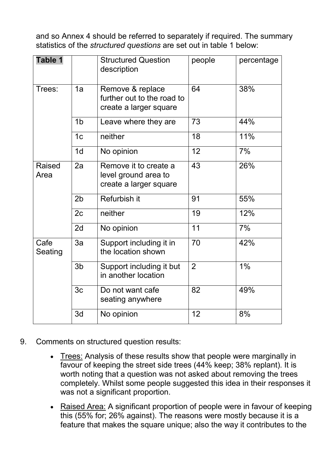and so Annex 4 should be referred to separately if required. The summary statistics of the *structured questions* are set out in table 1 below:

| Table 1               |                | <b>Structured Question</b><br>description                                | people         | percentage |
|-----------------------|----------------|--------------------------------------------------------------------------|----------------|------------|
| Trees:                | 1a             | Remove & replace<br>further out to the road to<br>create a larger square | 64             | 38%        |
|                       | 1 <sub>b</sub> | Leave where they are                                                     | 73             | 44%        |
|                       | 1 <sub>c</sub> | neither                                                                  | 18             | 11%        |
|                       | 1 <sub>d</sub> | No opinion                                                               | 12             | 7%         |
| <b>Raised</b><br>Area | 2a             | Remove it to create a<br>level ground area to<br>create a larger square  | 43<br>26%      |            |
|                       | 2 <sub>b</sub> | Refurbish it                                                             | 91             | 55%        |
|                       | 2c             | neither                                                                  | 19             | 12%        |
|                       | 2d             | No opinion                                                               | 11             | 7%         |
| Cafe<br>Seating       | 3a             | Support including it in<br>the location shown                            | 70             | 42%        |
|                       | 3 <sub>b</sub> | Support including it but<br>in another location                          | $\overline{2}$ | 1%         |
|                       | 3c             | Do not want cafe<br>seating anywhere                                     | 82             | 49%        |
|                       | 3d             | No opinion                                                               | 12             | 8%         |

- 9. Comments on structured question results:
	- Trees: Analysis of these results show that people were marginally in favour of keeping the street side trees (44% keep; 38% replant). It is worth noting that a question was not asked about removing the trees completely. Whilst some people suggested this idea in their responses it was not a significant proportion.
	- Raised Area: A significant proportion of people were in favour of keeping this (55% for; 26% against). The reasons were mostly because it is a feature that makes the square unique; also the way it contributes to the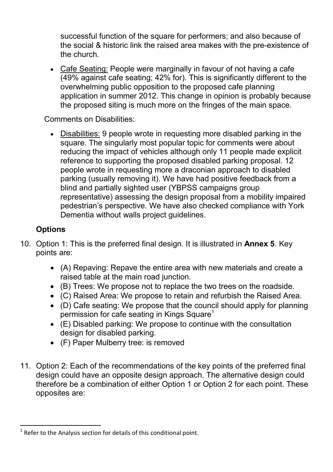successful function of the square for performers; and also because of the social & historic link the raised area makes with the pre-existence of the church.

• Cafe Seating: People were marginally in favour of not having a cafe (49% against cafe seating; 42% for). This is significantly different to the overwhelming public opposition to the proposed cafe planning application in summer 2012. This change in opinion is probably because the proposed siting is much more on the fringes of the main space.

Comments on Disabilities:

• Disabilities: 9 people wrote in requesting more disabled parking in the square. The singularly most popular topic for comments were about reducing the impact of vehicles although only 11 people made explicit reference to supporting the proposed disabled parking proposal. 12 people wrote in requesting more a draconian approach to disabled parking (usually removing it). We have had positive feedback from a blind and partially sighted user (YBPSS campaigns group representative) assessing the design proposal from a mobility impaired pedestrian's perspective. We have also checked compliance with York Dementia without walls project guidelines.

#### **Options**

- 10. Option 1: This is the preferred final design. It is illustrated in **Annex 5**. Key points are:
	- (A) Repaving: Repave the entire area with new materials and create a raised table at the main road junction.
	- (B) Trees: We propose not to replace the two trees on the roadside.
	- (C) Raised Area: We propose to retain and refurbish the Raised Area.
	- (D) Cafe seating: We propose that the council should apply for planning permission for cafe seating in Kings Square<sup>1</sup>
	- (E) Disabled parking: We propose to continue with the consultation design for disabled parking.
	- (F) Paper Mulberry tree: is removed
- 11. Option 2: Each of the recommendations of the key points of the preferred final design could have an opposite design approach. The alternative design could therefore be a combination of either Option 1 or Option 2 for each point. These opposites are:

 $\overline{a}$ 1 Refer to the Analysis section for details of this conditional point.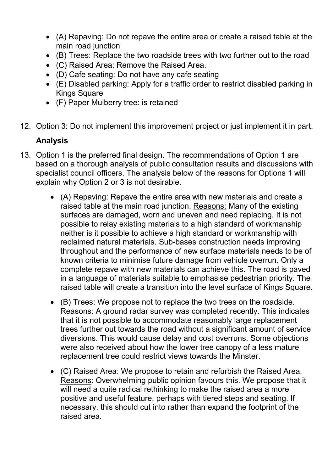- (A) Repaving: Do not repave the entire area or create a raised table at the main road junction
- (B) Trees: Replace the two roadside trees with two further out to the road
- (C) Raised Area: Remove the Raised Area.
- (D) Cafe seating: Do not have any cafe seating
- (E) Disabled parking: Apply for a traffic order to restrict disabled parking in Kings Square
- (F) Paper Mulberry tree: is retained
- 12. Option 3: Do not implement this improvement project or just implement it in part.

# **Analysis**

- 13. Option 1 is the preferred final design. The recommendations of Option 1 are based on a thorough analysis of public consultation results and discussions with specialist council officers. The analysis below of the reasons for Options 1 will explain why Option 2 or 3 is not desirable.
	- (A) Repaving: Repave the entire area with new materials and create a raised table at the main road junction. Reasons: Many of the existing surfaces are damaged, worn and uneven and need replacing. It is not possible to relay existing materials to a high standard of workmanship neither is it possible to achieve a high standard or workmanship with reclaimed natural materials. Sub-bases construction needs improving throughout and the performance of new surface materials needs to be of known criteria to minimise future damage from vehicle overrun. Only a complete repave with new materials can achieve this. The road is paved in a language of materials suitable to emphasise pedestrian priority. The raised table will create a transition into the level surface of Kings Square.
	- (B) Trees: We propose not to replace the two trees on the roadside. Reasons: A ground radar survey was completed recently. This indicates that it is not possible to accommodate reasonably large replacement trees further out towards the road without a significant amount of service diversions. This would cause delay and cost overruns. Some objections were also received about how the lower tree canopy of a less mature replacement tree could restrict views towards the Minster.
	- (C) Raised Area: We propose to retain and refurbish the Raised Area. Reasons: Overwhelming public opinion favours this. We propose that it will need a quite radical rethinking to make the raised area a more positive and useful feature, perhaps with tiered steps and seating. If necessary, this should cut into rather than expand the footprint of the raised area.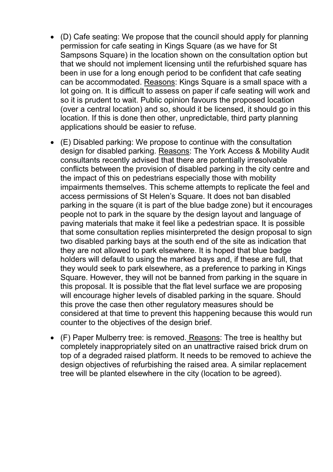- (D) Cafe seating: We propose that the council should apply for planning permission for cafe seating in Kings Square (as we have for St Sampsons Square) in the location shown on the consultation option but that we should not implement licensing until the refurbished square has been in use for a long enough period to be confident that cafe seating can be accommodated. Reasons: Kings Square is a small space with a lot going on. It is difficult to assess on paper if cafe seating will work and so it is prudent to wait. Public opinion favours the proposed location (over a central location) and so, should it be licensed, it should go in this location. If this is done then other, unpredictable, third party planning applications should be easier to refuse.
- (E) Disabled parking: We propose to continue with the consultation design for disabled parking. Reasons: The York Access & Mobility Audit consultants recently advised that there are potentially irresolvable conflicts between the provision of disabled parking in the city centre and the impact of this on pedestrians especially those with mobility impairments themselves. This scheme attempts to replicate the feel and access permissions of St Helen's Square. It does not ban disabled parking in the square (it is part of the blue badge zone) but it encourages people not to park in the square by the design layout and language of paving materials that make it feel like a pedestrian space. It is possible that some consultation replies misinterpreted the design proposal to sign two disabled parking bays at the south end of the site as indication that they are not allowed to park elsewhere. It is hoped that blue badge holders will default to using the marked bays and, if these are full, that they would seek to park elsewhere, as a preference to parking in Kings Square. However, they will not be banned from parking in the square in this proposal. It is possible that the flat level surface we are proposing will encourage higher levels of disabled parking in the square. Should this prove the case then other regulatory measures should be considered at that time to prevent this happening because this would run counter to the objectives of the design brief.
- (F) Paper Mulberry tree: is removed. Reasons: The tree is healthy but completely inappropriately sited on an unattractive raised brick drum on top of a degraded raised platform. It needs to be removed to achieve the design objectives of refurbishing the raised area. A similar replacement tree will be planted elsewhere in the city (location to be agreed).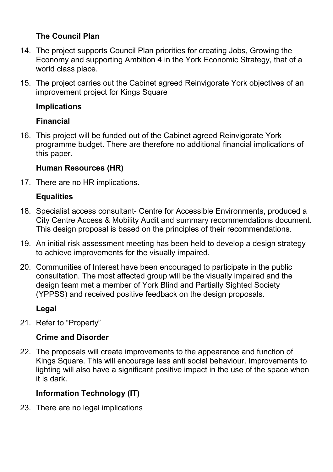# **The Council Plan**

- 14. The project supports Council Plan priorities for creating Jobs, Growing the Economy and supporting Ambition 4 in the York Economic Strategy, that of a world class place.
- 15. The project carries out the Cabinet agreed Reinvigorate York objectives of an improvement project for Kings Square

#### **Implications**

# **Financial**

16. This project will be funded out of the Cabinet agreed Reinvigorate York programme budget. There are therefore no additional financial implications of this paper.

#### **Human Resources (HR)**

17. There are no HR implications.

# **Equalities**

- 18. Specialist access consultant- Centre for Accessible Environments, produced a City Centre Access & Mobility Audit and summary recommendations document. This design proposal is based on the principles of their recommendations.
- 19. An initial risk assessment meeting has been held to develop a design strategy to achieve improvements for the visually impaired.
- 20. Communities of Interest have been encouraged to participate in the public consultation. The most affected group will be the visually impaired and the design team met a member of York Blind and Partially Sighted Society (YPPSS) and received positive feedback on the design proposals.

#### **Legal**

21. Refer to "Property"

# **Crime and Disorder**

22. The proposals will create improvements to the appearance and function of Kings Square. This will encourage less anti social behaviour. Improvements to lighting will also have a significant positive impact in the use of the space when it is dark.

# **Information Technology (IT)**

23. There are no legal implications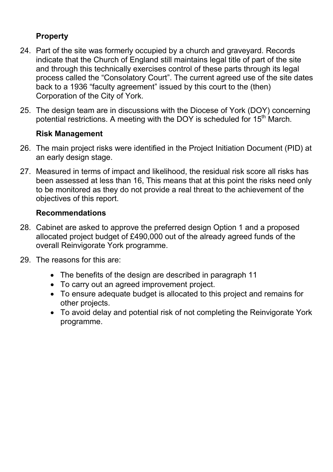# **Property**

- 24. Part of the site was formerly occupied by a church and graveyard. Records indicate that the Church of England still maintains legal title of part of the site and through this technically exercises control of these parts through its legal process called the "Consolatory Court". The current agreed use of the site dates back to a 1936 "faculty agreement" issued by this court to the (then) Corporation of the City of York.
- 25. The design team are in discussions with the Diocese of York (DOY) concerning potential restrictions. A meeting with the DOY is scheduled for 15<sup>th</sup> March.

#### **Risk Management**

- 26. The main project risks were identified in the Project Initiation Document (PID) at an early design stage.
- 27. Measured in terms of impact and likelihood, the residual risk score all risks has been assessed at less than 16, This means that at this point the risks need only to be monitored as they do not provide a real threat to the achievement of the objectives of this report.

#### **Recommendations**

- 28. Cabinet are asked to approve the preferred design Option 1 and a proposed allocated project budget of £490,000 out of the already agreed funds of the overall Reinvigorate York programme.
- 29. The reasons for this are:
	- The benefits of the design are described in paragraph 11
	- To carry out an agreed improvement project.
	- To ensure adequate budget is allocated to this project and remains for other projects.
	- To avoid delay and potential risk of not completing the Reinvigorate York programme.